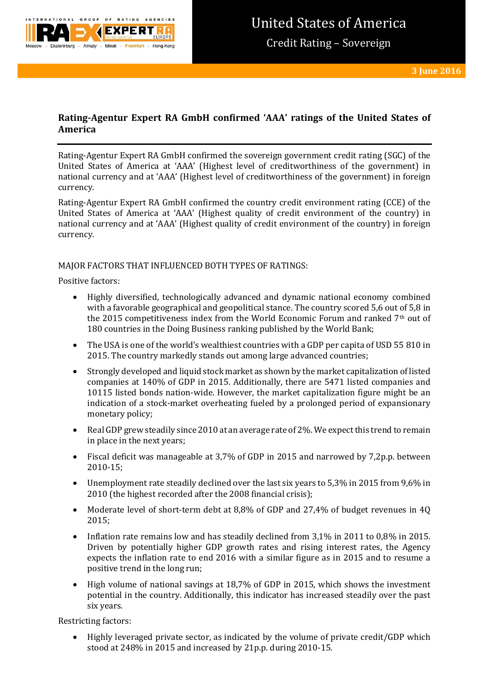

# **Rating-Agentur Expert RA GmbH confirmed 'AAA' ratings of the United States of America**

Rating-Agentur Expert RA GmbH confirmed the sovereign government credit rating (SGC) of the United States of America at 'AAA' (Highest level of creditworthiness of the government) in national currency and at 'AAA' (Highest level of creditworthiness of the government) in foreign currency.

Rating-Agentur Expert RA GmbH confirmed the country credit environment rating (CCE) of the United States of America at 'AAA' (Highest quality of credit environment of the country) in national currency and at 'AAA' (Highest quality of credit environment of the country) in foreign currency.

### MAJOR FACTORS THAT INFLUENCED BOTH TYPES OF RATINGS:

Positive factors:

- Highly diversified, technologically advanced and dynamic national economy combined with a favorable geographical and geopolitical stance. The country scored 5,6 out of 5,8 in the 2015 competitiveness index from the World Economic Forum and ranked 7th out of 180 countries in the Doing Business ranking published by the World Bank;
- The USA is one of the world's wealthiest countries with a GDP per capita of USD 55 810 in 2015. The country markedly stands out among large advanced countries;
- Strongly developed and liquid stock market as shown by the market capitalization of listed companies at 140% of GDP in 2015. Additionally, there are 5471 listed companies and 10115 listed bonds nation-wide. However, the market capitalization figure might be an indication of a stock-market overheating fueled by a prolonged period of expansionary monetary policy;
- Real GDP grew steadily since 2010 at an average rate of 2%. We expect this trend to remain in place in the next years;
- Fiscal deficit was manageable at 3,7% of GDP in 2015 and narrowed by 7,2p.p. between 2010-15;
- Unemployment rate steadily declined over the last six years to 5,3% in 2015 from 9,6% in 2010 (the highest recorded after the 2008 financial crisis);
- Moderate level of short-term debt at 8,8% of GDP and 27,4% of budget revenues in 4Q 2015;
- Inflation rate remains low and has steadily declined from 3,1% in 2011 to 0,8% in 2015. Driven by potentially higher GDP growth rates and rising interest rates, the Agency expects the inflation rate to end 2016 with a similar figure as in 2015 and to resume a positive trend in the long run;
- High volume of national savings at 18,7% of GDP in 2015, which shows the investment potential in the country. Additionally, this indicator has increased steadily over the past six years.

Restricting factors:

 Highly leveraged private sector, as indicated by the volume of private credit/GDP which stood at 248% in 2015 and increased by 21p.p. during 2010-15.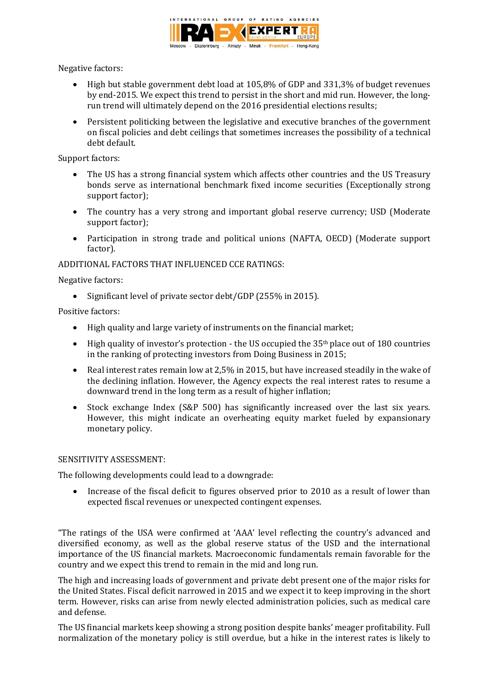

Negative factors:

- High but stable government debt load at 105,8% of GDP and 331,3% of budget revenues by end-2015. We expect this trend to persist in the short and mid run. However, the longrun trend will ultimately depend on the 2016 presidential elections results;
- Persistent politicking between the legislative and executive branches of the government on fiscal policies and debt ceilings that sometimes increases the possibility of a technical debt default.

Support factors:

- The US has a strong financial system which affects other countries and the US Treasury bonds serve as international benchmark fixed income securities (Exceptionally strong support factor);
- The country has a very strong and important global reserve currency; USD (Moderate support factor);
- Participation in strong trade and political unions (NAFTA, OECD) (Moderate support factor).

ADDITIONAL FACTORS THAT INFLUENCED CCE RATINGS:

Negative factors:

• Significant level of private sector debt/GDP (255% in 2015).

Positive factors:

- High quality and large variety of instruments on the financial market;
- $\bullet$  High quality of investor's protection the US occupied the 35<sup>th</sup> place out of 180 countries in the ranking of protecting investors from Doing Business in 2015;
- Real interest rates remain low at 2,5% in 2015, but have increased steadily in the wake of the declining inflation. However, the Agency expects the real interest rates to resume a downward trend in the long term as a result of higher inflation;
- Stock exchange Index (S&P 500) has significantly increased over the last six years. However, this might indicate an overheating equity market fueled by expansionary monetary policy.

### SENSITIVITY ASSESSMENT:

The following developments could lead to a downgrade:

 Increase of the fiscal deficit to figures observed prior to 2010 as a result of lower than expected fiscal revenues or unexpected contingent expenses.

"The ratings of the USA were confirmed at 'AAA' level reflecting the country's advanced and diversified economy, as well as the global reserve status of the USD and the international importance of the US financial markets. Macroeconomic fundamentals remain favorable for the country and we expect this trend to remain in the mid and long run.

The high and increasing loads of government and private debt present one of the major risks for the United States. Fiscal deficit narrowed in 2015 and we expect it to keep improving in the short term. However, risks can arise from newly elected administration policies, such as medical care and defense.

The US financial markets keep showing a strong position despite banks' meager profitability. Full normalization of the monetary policy is still overdue, but a hike in the interest rates is likely to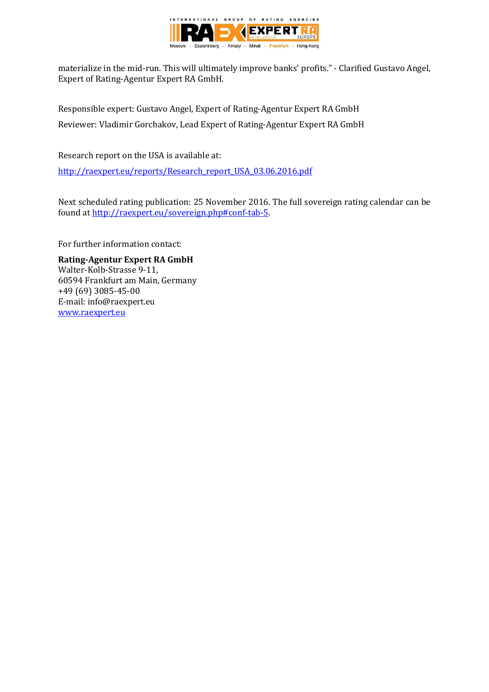

materialize in the mid-run. This will ultimately improve banks' profits." - Clarified Gustavo Angel, Expert of Rating-Agentur Expert RA GmbH.

Responsible expert: Gustavo Angel, Expert of Rating-Agentur Expert RA GmbH Reviewer: Vladimir Gorchakov, Lead Expert of Rating-Agentur Expert RA GmbH

Research report on the USA is available at:

[http://raexpert.eu/reports/Research\\_report\\_USA\\_03.06.2016.pdf](http://raexpert.eu/reports/Research_report_USA_03.06.2016.pdf)

Next scheduled rating publication: 25 November 2016. The full sovereign rating calendar can be found at [http://raexpert.eu/sovereign.php#conf-tab-5.](http://raexpert.eu/sovereign.php#conf-tab-5)

For further information contact:

**Rating-Agentur Expert RA GmbH** Walter-Kolb-Strasse 9-11, 60594 Frankfurt am Main, Germany +49 (69) 3085-45-00 E-mail: info@raexpert.eu [www.raexpert.eu](http://raexpert.eu/)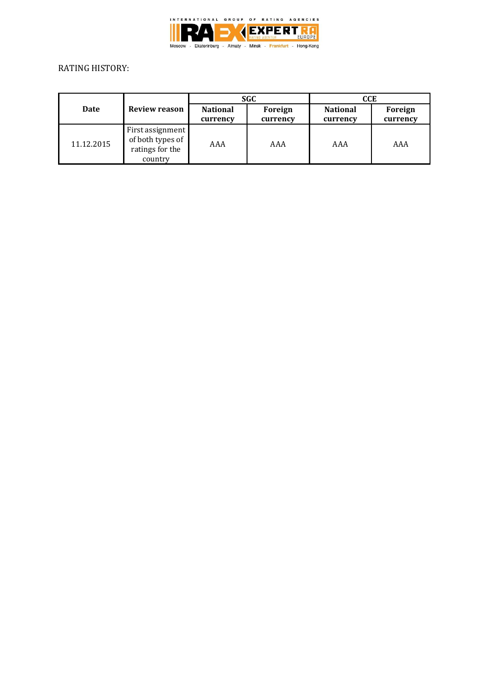

## RATING HISTORY:

| Date       | Review reason                                                      | <b>SGC</b>                  |                     | CCE                         |                     |
|------------|--------------------------------------------------------------------|-----------------------------|---------------------|-----------------------------|---------------------|
|            |                                                                    | <b>National</b><br>currency | Foreign<br>currency | <b>National</b><br>currency | Foreign<br>currency |
| 11.12.2015 | First assignment<br>of both types of<br>ratings for the<br>country | AAA                         | AAA                 | AAA                         | AAA                 |